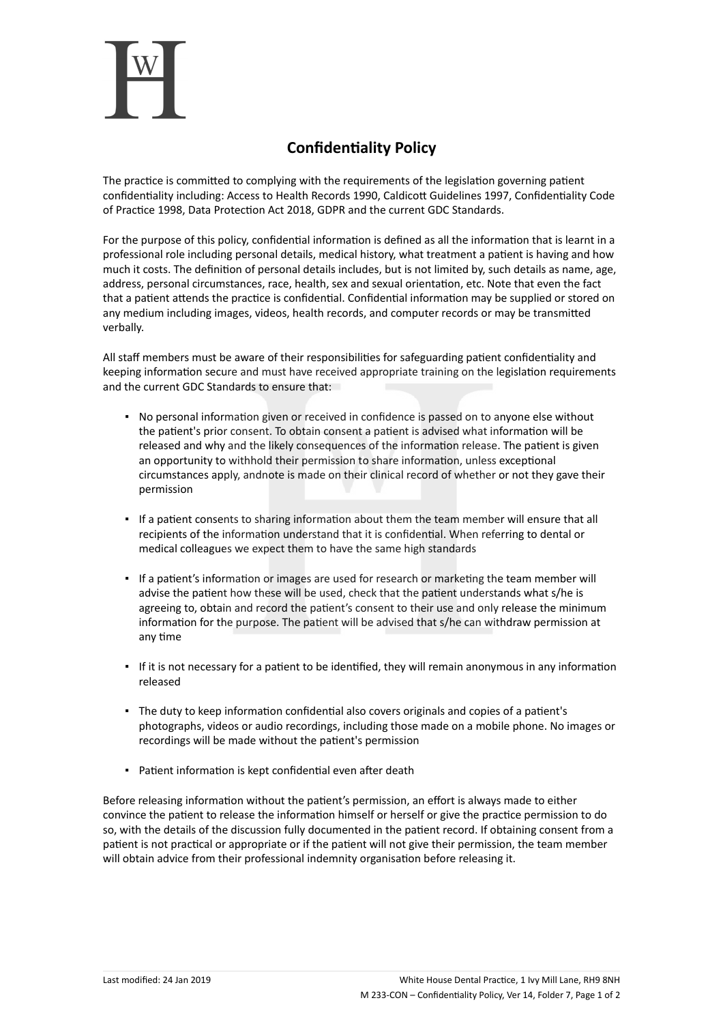

## **Confidentiality Policy**

The practice is committed to complying with the requirements of the legislation governing patient confidentiality including: Access to Health Records 1990, Caldicott Guidelines 1997, Confidentiality Code of Practice 1998, Data Protection Act 2018, GDPR and the current GDC Standards.

For the purpose of this policy, confidential information is defined as all the information that is learnt in a professional role including personal details, medical history, what treatment a patient is having and how much it costs. The definition of personal details includes, but is not limited by, such details as name, age, address, personal circumstances, race, health, sex and sexual orientation, etc. Note that even the fact that a patient attends the practice is confidential. Confidential information may be supplied or stored on any medium including images, videos, health records, and computer records or may be transmitted verbally.

All staff members must be aware of their responsibilities for safeguarding patient confidentiality and keeping information secure and must have received appropriate training on the legislation requirements and the current GDC Standards to ensure that:

- No personal information given or received in confidence is passed on to anyone else without the patient's prior consent. To obtain consent a patient is advised what information will be released and why and the likely consequences of the information release. The patient is given an opportunity to withhold their permission to share information, unless exceptional circumstances apply, andnote is made on their clinical record of whether or not they gave their permission
- If a patient consents to sharing information about them the team member will ensure that all recipients of the information understand that it is confidential. When referring to dental or medical colleagues we expect them to have the same high standards
- If a patient's information or images are used for research or marketing the team member will advise the patient how these will be used, check that the patient understands what s/he is agreeing to, obtain and record the patient's consent to their use and only release the minimum information for the purpose. The patient will be advised that s/he can withdraw permission at any time
- If it is not necessary for a patient to be identified, they will remain anonymous in any information released
- The duty to keep information confidential also covers originals and copies of a patient's photographs, videos or audio recordings, including those made on a mobile phone. No images or recordings will be made without the patient's permission
- Patient information is kept confidential even after death

Before releasing information without the patient's permission, an effort is always made to either convince the patient to release the information himself or herself or give the practice permission to do so, with the details of the discussion fully documented in the patient record. If obtaining consent from a patient is not practical or appropriate or if the patient will not give their permission, the team member will obtain advice from their professional indemnity organisation before releasing it.